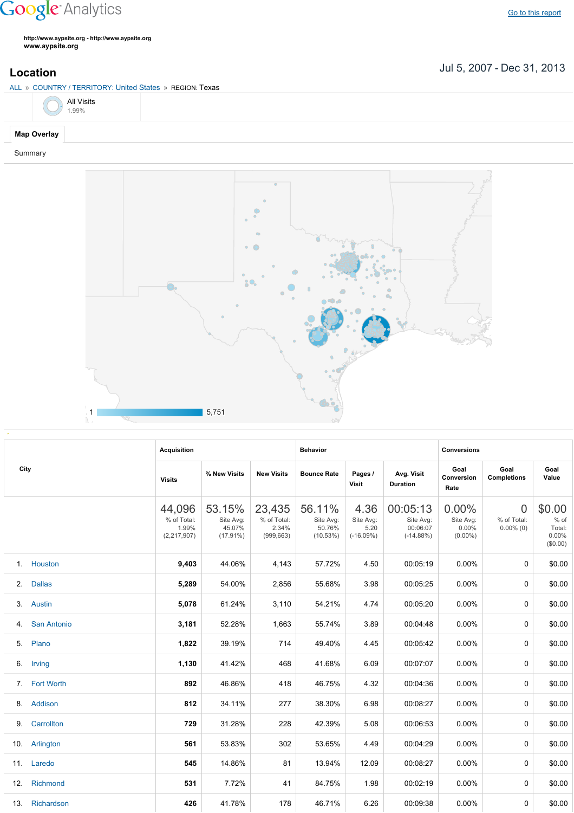## **Google** Analytics

**http://www.aypsite.org http://www.aypsite.org www.aypsite.org**

**Location** Jul 5, 2007 - Dec 31, 2013

|             | ALL » COUNTRY / TERRITORY: United States » REGION: Texas |  |  |  |  |  |  |  |  |  |
|-------------|----------------------------------------------------------|--|--|--|--|--|--|--|--|--|
|             | $\bigcirc$ All Visits 1.99%                              |  |  |  |  |  |  |  |  |  |
| Map Overlay |                                                          |  |  |  |  |  |  |  |  |  |

## Summary



|      |                    | <b>Acquisition</b>                            |                                              |                                              | <b>Behavior</b>                           |                                          |                                                  | <b>Conversions</b>                        |                                               |                                                 |  |  |
|------|--------------------|-----------------------------------------------|----------------------------------------------|----------------------------------------------|-------------------------------------------|------------------------------------------|--------------------------------------------------|-------------------------------------------|-----------------------------------------------|-------------------------------------------------|--|--|
| City |                    | <b>Visits</b>                                 | % New Visits                                 | <b>New Visits</b>                            | <b>Bounce Rate</b>                        | Pages /<br>Visit                         | Avg. Visit<br><b>Duration</b>                    | Goal<br>Conversion<br>Rate                | Goal<br>Completions                           |                                                 |  |  |
|      |                    | 44,096<br>% of Total:<br>1.99%<br>(2,217,907) | 53.15%<br>Site Avg:<br>45.07%<br>$(17.91\%)$ | 23,435<br>% of Total:<br>2.34%<br>(999, 663) | 56.11%<br>Site Avg:<br>50.76%<br>(10.53%) | 4.36<br>Site Avg:<br>5.20<br>$(-16.09%)$ | 00:05:13<br>Site Avg:<br>00:06:07<br>$(-14.88%)$ | 0.00%<br>Site Avg:<br>0.00%<br>$(0.00\%)$ | $\overline{0}$<br>% of Total:<br>$0.00\%$ (0) | \$0.00<br>$%$ of<br>Total:<br>0.00%<br>(\$0.00) |  |  |
|      | 1. Houston         | 9,403                                         | 44.06%                                       | 4,143                                        | 57.72%                                    | 4.50                                     | 00:05:19                                         | 0.00%                                     | 0                                             | \$0.00                                          |  |  |
| 2.   | <b>Dallas</b>      | 5,289                                         | 54.00%                                       | 2,856                                        | 55.68%                                    | 3.98                                     | 00:05:25                                         | 0.00%                                     | 0                                             | \$0.00                                          |  |  |
| 3.   | Austin             | 5,078                                         | 61.24%                                       | 3,110                                        | 54.21%                                    | 4.74                                     | 00:05:20                                         | 0.00%                                     | 0                                             | \$0.00                                          |  |  |
| 4.   | <b>San Antonio</b> | 3,181                                         | 52.28%                                       | 1,663                                        | 55.74%                                    | 3.89                                     | 00:04:48                                         | 0.00%                                     | 0                                             | \$0.00                                          |  |  |
| 5.   | Plano              | 1,822                                         | 39.19%                                       | 714                                          | 49.40%                                    | 4.45                                     | 00:05:42                                         | 0.00%                                     | 0                                             | \$0.00                                          |  |  |
|      | 6. Irving          | 1,130                                         | 41.42%                                       | 468                                          | 41.68%                                    | 6.09                                     | 00:07:07                                         | 0.00%                                     | $\Omega$                                      | \$0.00                                          |  |  |
|      | 7. Fort Worth      | 892                                           | 46.86%                                       | 418                                          | 46.75%                                    | 4.32                                     | 00:04:36                                         | 0.00%                                     | $\Omega$                                      | \$0.00                                          |  |  |
|      | 8. Addison         | 812                                           | 34.11%                                       | 277                                          | 38.30%                                    | 6.98                                     | 00:08:27                                         | 0.00%                                     | $\Omega$                                      | \$0.00                                          |  |  |
| 9.   | Carrollton         | 729                                           | 31.28%                                       | 228                                          | 42.39%                                    | 5.08                                     | 00:06:53                                         | 0.00%                                     | 0                                             | \$0.00                                          |  |  |
| 10.  | Arlington          | 561                                           | 53.83%                                       | 302                                          | 53.65%                                    | 4.49                                     | 00:04:29                                         | 0.00%                                     | 0                                             | \$0.00                                          |  |  |
|      | 11. Laredo         | 545                                           | 14.86%                                       | 81                                           | 13.94%                                    | 12.09                                    | 00:08:27                                         | 0.00%                                     | 0                                             | \$0.00                                          |  |  |
| 12.  | Richmond           | 531                                           | 7.72%                                        | 41                                           | 84.75%                                    | 1.98                                     | 00:02:19                                         | 0.00%                                     | 0                                             | \$0.00                                          |  |  |
|      | 13. Richardson     | 426                                           | 41.78%                                       | 178                                          | 46.71%                                    | 6.26                                     | 00:09:38                                         | 0.00%                                     | 0                                             | \$0.00                                          |  |  |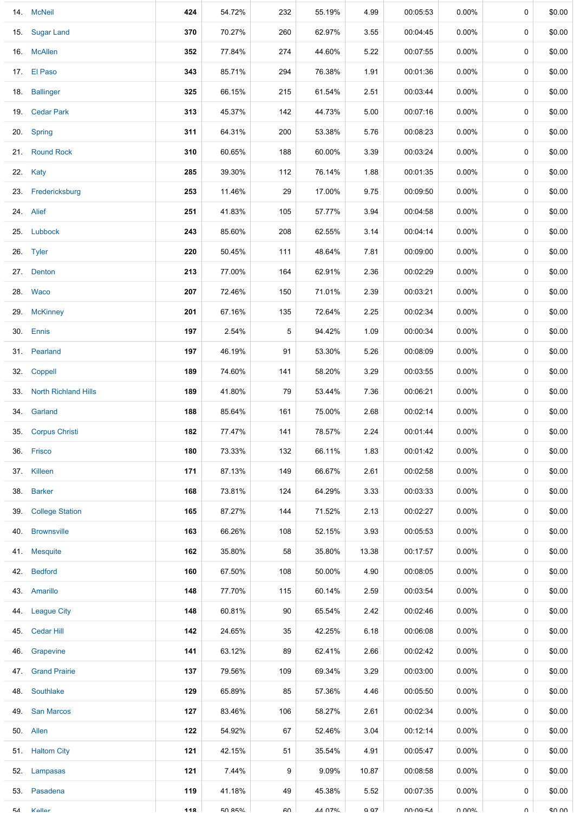|     | 14. McNeil               | 424 | 54.72%        | 232 | 55.19%        | 4.99  | 00:05:53                    | 0.00%    | 0           | \$0.00 |
|-----|--------------------------|-----|---------------|-----|---------------|-------|-----------------------------|----------|-------------|--------|
|     | 15. Sugar Land           | 370 | 70.27%        | 260 | 62.97%        | 3.55  | 00:04:45                    | 0.00%    | 0           | \$0.00 |
|     | 16. McAllen              | 352 | 77.84%        | 274 | 44.60%        | 5.22  | 00:07:55                    | $0.00\%$ | 0           | \$0.00 |
|     | 17. El Paso              | 343 | 85.71%        | 294 | 76.38%        | 1.91  | 00:01:36                    | $0.00\%$ | 0           | \$0.00 |
|     | 18. Ballinger            | 325 | 66.15%        | 215 | 61.54%        | 2.51  | 00:03:44                    | $0.00\%$ | 0           | \$0.00 |
|     | 19. Cedar Park           | 313 | 45.37%        | 142 | 44.73%        | 5.00  | 00:07:16                    | $0.00\%$ | 0           | \$0.00 |
|     | 20. Spring               | 311 | 64.31%        | 200 | 53.38%        | 5.76  | 00:08:23                    | $0.00\%$ | 0           | \$0.00 |
|     | 21. Round Rock           | 310 | 60.65%        | 188 | 60.00%        | 3.39  | 00:03:24                    | $0.00\%$ | 0           | \$0.00 |
|     | 22. Katy                 | 285 | 39.30%        | 112 | 76.14%        | 1.88  | 00:01:35                    | $0.00\%$ | 0           | \$0.00 |
|     | 23. Fredericksburg       | 253 | 11.46%        | 29  | 17.00%        | 9.75  | 00:09:50                    | $0.00\%$ | 0           | \$0.00 |
|     | 24. Alief                | 251 | 41.83%        | 105 | 57.77%        | 3.94  | 00:04:58                    | $0.00\%$ | 0           | \$0.00 |
|     | 25. Lubbock              | 243 | 85.60%        | 208 | 62.55%        | 3.14  | 00:04:14                    | $0.00\%$ | 0           | \$0.00 |
|     | 26. Tyler                | 220 | 50.45%        | 111 | 48.64%        | 7.81  | 00:09:00                    | $0.00\%$ | $\mathbf 0$ | \$0.00 |
|     | 27. Denton               | 213 | 77.00%        | 164 | 62.91%        | 2.36  | 00:02:29                    | $0.00\%$ | 0           | \$0.00 |
|     | 28. Waco                 | 207 | 72.46%        | 150 | 71.01%        | 2.39  | 00:03:21                    | $0.00\%$ | 0           | \$0.00 |
|     | 29. McKinney             | 201 | 67.16%        | 135 | 72.64%        | 2.25  | 00:02:34                    | $0.00\%$ | 0           | \$0.00 |
|     | 30. Ennis                | 197 | 2.54%         | 5   | 94.42%        | 1.09  | 00:00:34                    | $0.00\%$ | 0           | \$0.00 |
|     | 31. Pearland             | 197 | 46.19%        | 91  | 53.30%        | 5.26  | 00:08:09                    | $0.00\%$ | 0           | \$0.00 |
|     | 32. Coppell              | 189 | 74.60%        | 141 | 58.20%        | 3.29  | 00:03:55                    | 0.00%    | 0           | \$0.00 |
|     | 33. North Richland Hills | 189 | 41.80%        | 79  | 53.44%        | 7.36  | 00:06:21                    | $0.00\%$ | $\mathbf 0$ | \$0.00 |
|     | 34. Garland              | 188 | 85.64%        | 161 | 75.00%        | 2.68  | 00:02:14                    | $0.00\%$ | 0           | \$0.00 |
| 35. | <b>Corpus Christi</b>    | 182 | 77.47%        | 141 | 78.57%        | 2.24  | 00:01:44                    | $0.00\%$ | 0           | \$0.00 |
|     | 36. Frisco               | 180 | 73.33%        | 132 | 66.11%        | 1.83  | 00:01:42                    | $0.00\%$ | 0           | \$0.00 |
|     | 37. Killeen              | 171 | 87.13%        | 149 | 66.67%        | 2.61  | 00:02:58                    | $0.00\%$ | 0           | \$0.00 |
|     | 38. Barker               | 168 | 73.81%        | 124 | 64.29%        | 3.33  | 00:03:33                    | $0.00\%$ | 0           | \$0.00 |
|     | 39. College Station      | 165 | 87.27%        | 144 | 71.52%        | 2.13  | 00:02:27                    | $0.00\%$ | 0           | \$0.00 |
| 40. | <b>Brownsville</b>       | 163 | 66.26%        | 108 | 52.15%        | 3.93  | 00:05:53                    | $0.00\%$ | 0           | \$0.00 |
|     | 41. Mesquite             | 162 | 35.80%        | 58  | 35.80%        | 13.38 | 00:17:57                    | $0.00\%$ | 0           | \$0.00 |
|     | 42. Bedford              | 160 | 67.50%        | 108 | 50.00%        | 4.90  | 00:08:05                    | $0.00\%$ | 0           | \$0.00 |
|     | 43. Amarillo             | 148 | 77.70%        | 115 | 60.14%        | 2.59  | 00:03:54                    | $0.00\%$ | 0           | \$0.00 |
|     | 44. League City          | 148 | 60.81%        | 90  | 65.54%        | 2.42  | 00:02:46                    | 0.00%    | 0           | \$0.00 |
|     | 45. Cedar Hill           | 142 | 24.65%        | 35  | 42.25%        | 6.18  | 00:06:08                    | $0.00\%$ | 0           | \$0.00 |
|     | 46. Grapevine            | 141 | 63.12%        | 89  | 62.41%        | 2.66  | 00:02:42                    | $0.00\%$ | 0           | \$0.00 |
|     | 47. Grand Prairie        | 137 | 79.56%        | 109 | 69.34%        | 3.29  | 00:03:00                    | $0.00\%$ | 0           | \$0.00 |
|     | 48. Southlake            | 129 | 65.89%        | 85  | 57.36%        | 4.46  | 00:05:50                    | $0.00\%$ | 0           | \$0.00 |
|     | 49. San Marcos           | 127 | 83.46%        | 106 | 58.27%        | 2.61  | 00:02:34                    | $0.00\%$ | 0           | \$0.00 |
|     | 50. Allen                | 122 | 54.92%        | 67  | 52.46%        | 3.04  | 00:12:14                    | $0.00\%$ | 0           | \$0.00 |
|     | 51. Haltom City          | 121 | 42.15%        | 51  | 35.54%        | 4.91  | 00:05:47                    | $0.00\%$ | 0           | \$0.00 |
|     | 52. Lampasas             | 121 | 7.44%         | 9   | 9.09%         | 10.87 | 00:08:58                    | $0.00\%$ | 0           | \$0.00 |
|     | 53. Pasadena             | 119 | 41.18%        | 49  | 45.38%        | 5.52  | 00:07:35                    | $0.00\%$ | 0           | \$0.00 |
| 51  | <b>Kallar</b>            | 449 | <b>EN 85%</b> | ∩∩  | <b>AA 07%</b> | 0 Q7  | $0 \cdot 0 \cdot 0 \cdot 0$ | U UU0\   | $\cap$      | eu uu  |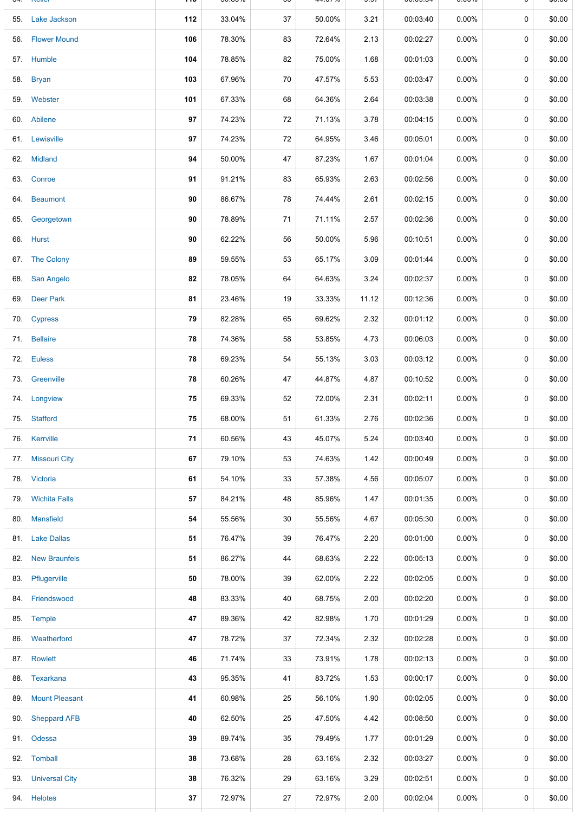|     | <b>IZQIIQI</b>        | .   | JU.UJ /0 | υυ | 77.UI 70 | ອ.ອ≀  | 00.09.0 <del>4</del> | <b>0.0070</b> |             | ψυ.υυ  |
|-----|-----------------------|-----|----------|----|----------|-------|----------------------|---------------|-------------|--------|
|     | 55. Lake Jackson      | 112 | 33.04%   | 37 | 50.00%   | 3.21  | 00:03:40             | $0.00\%$      | 0           | \$0.00 |
|     | 56. Flower Mound      | 106 | 78.30%   | 83 | 72.64%   | 2.13  | 00:02:27             | 0.00%         | 0           | \$0.00 |
|     | 57. Humble            | 104 | 78.85%   | 82 | 75.00%   | 1.68  | 00:01:03             | $0.00\%$      | 0           | \$0.00 |
|     | 58. Bryan             | 103 | 67.96%   | 70 | 47.57%   | 5.53  | 00:03:47             | 0.00%         | 0           | \$0.00 |
|     | 59. Webster           | 101 | 67.33%   | 68 | 64.36%   | 2.64  | 00:03:38             | 0.00%         | 0           | \$0.00 |
|     | 60. Abilene           | 97  | 74.23%   | 72 | 71.13%   | 3.78  | 00:04:15             | 0.00%         | 0           | \$0.00 |
|     | 61. Lewisville        | 97  | 74.23%   | 72 | 64.95%   | 3.46  | 00:05:01             | 0.00%         | 0           | \$0.00 |
|     | 62. Midland           | 94  | 50.00%   | 47 | 87.23%   | 1.67  | 00:01:04             | 0.00%         | 0           | \$0.00 |
|     | 63. Conroe            | 91  | 91.21%   | 83 | 65.93%   | 2.63  | 00:02:56             | 0.00%         | 0           | \$0.00 |
|     | 64. Beaumont          | 90  | 86.67%   | 78 | 74.44%   | 2.61  | 00:02:15             | 0.00%         | $\mathbf 0$ | \$0.00 |
|     | 65. Georgetown        | 90  | 78.89%   | 71 | 71.11%   | 2.57  | 00:02:36             | 0.00%         | 0           | \$0.00 |
|     | 66. Hurst             | 90  | 62.22%   | 56 | 50.00%   | 5.96  | 00:10:51             | 0.00%         | 0           | \$0.00 |
|     | 67. The Colony        | 89  | 59.55%   | 53 | 65.17%   | 3.09  | 00:01:44             | 0.00%         | 0           | \$0.00 |
|     | 68. San Angelo        | 82  | 78.05%   | 64 | 64.63%   | 3.24  | 00:02:37             | 0.00%         | 0           | \$0.00 |
|     | 69. Deer Park         | 81  | 23.46%   | 19 | 33.33%   | 11.12 | 00:12:36             | 0.00%         | 0           | \$0.00 |
|     | 70. Cypress           | 79  | 82.28%   | 65 | 69.62%   | 2.32  | 00:01:12             | 0.00%         | 0           | \$0.00 |
|     | 71. Bellaire          | 78  | 74.36%   | 58 | 53.85%   | 4.73  | 00:06:03             | $0.00\%$      | 0           | \$0.00 |
|     | 72. Euless            | 78  | 69.23%   | 54 | 55.13%   | 3.03  | 00:03:12             | $0.00\%$      | 0           | \$0.00 |
|     | 73. Greenville        | 78  | 60.26%   | 47 | 44.87%   | 4.87  | 00:10:52             | $0.00\%$      | 0           | \$0.00 |
|     | 74. Longview          | 75  | 69.33%   | 52 | 72.00%   | 2.31  | 00:02:11             | $0.00\%$      | 0           | \$0.00 |
|     | 75. Stafford          | 75  | 68.00%   | 51 | 61.33%   | 2.76  | 00:02:36             | $0.00\%$      | 0           | \$0.00 |
|     | 76. Kerrville         | 71  | 60.56%   | 43 | 45.07%   | 5.24  | 00:03:40             | $0.00\%$      | 0           | \$0.00 |
|     | 77. Missouri City     | 67  | 79.10%   | 53 | 74.63%   | 1.42  | 00:00:49             | $0.00\%$      | 0           | \$0.00 |
|     | 78. Victoria          | 61  | 54.10%   | 33 | 57.38%   | 4.56  | 00:05:07             | $0.00\%$      | 0           | \$0.00 |
|     | 79. Wichita Falls     | 57  | 84.21%   | 48 | 85.96%   | 1.47  | 00:01:35             | $0.00\%$      | 0           | \$0.00 |
|     | 80. Mansfield         | 54  | 55.56%   | 30 | 55.56%   | 4.67  | 00:05:30             | $0.00\%$      | 0           | \$0.00 |
|     | 81. Lake Dallas       | 51  | 76.47%   | 39 | 76.47%   | 2.20  | 00:01:00             | 0.00%         | 0           | \$0.00 |
|     | 82. New Braunfels     | 51  | 86.27%   | 44 | 68.63%   | 2.22  | 00:05:13             | $0.00\%$      | 0           | \$0.00 |
|     | 83. Pflugerville      | 50  | 78.00%   | 39 | 62.00%   | 2.22  | 00:02:05             | $0.00\%$      | 0           | \$0.00 |
|     | 84. Friendswood       | 48  | 83.33%   | 40 | 68.75%   | 2.00  | 00:02:20             | $0.00\%$      | 0           | \$0.00 |
|     | 85. Temple            | 47  | 89.36%   | 42 | 82.98%   | 1.70  | 00:01:29             | $0.00\%$      | 0           | \$0.00 |
|     | 86. Weatherford       | 47  | 78.72%   | 37 | 72.34%   | 2.32  | 00:02:28             | $0.00\%$      | 0           | \$0.00 |
|     | 87. Rowlett           | 46  | 71.74%   | 33 | 73.91%   | 1.78  | 00:02:13             | $0.00\%$      | 0           | \$0.00 |
|     | 88. Texarkana         | 43  | 95.35%   | 41 | 83.72%   | 1.53  | 00:00:17             | $0.00\%$      | 0           | \$0.00 |
| 89. | <b>Mount Pleasant</b> | 41  | 60.98%   | 25 | 56.10%   | 1.90  | 00:02:05             | $0.00\%$      | $\mathbf 0$ | \$0.00 |
|     | 90. Sheppard AFB      | 40  | 62.50%   | 25 | 47.50%   | 4.42  | 00:08:50             | $0.00\%$      | 0           | \$0.00 |
|     | 91. Odessa            | 39  | 89.74%   | 35 | 79.49%   | 1.77  | 00:01:29             | $0.00\%$      | 0           | \$0.00 |
|     | 92. Tomball           | 38  | 73.68%   | 28 | 63.16%   | 2.32  | 00:03:27             | $0.00\%$      | 0           | \$0.00 |
|     | 93. Universal City    | 38  | 76.32%   | 29 | 63.16%   | 3.29  | 00:02:51             | $0.00\%$      | $\mathbf 0$ | \$0.00 |
|     | 94. Helotes           | 37  | 72.97%   | 27 | 72.97%   | 2.00  | 00:02:04             | $0.00\%$      | 0           | \$0.00 |
|     |                       |     |          |    |          |       |                      |               |             |        |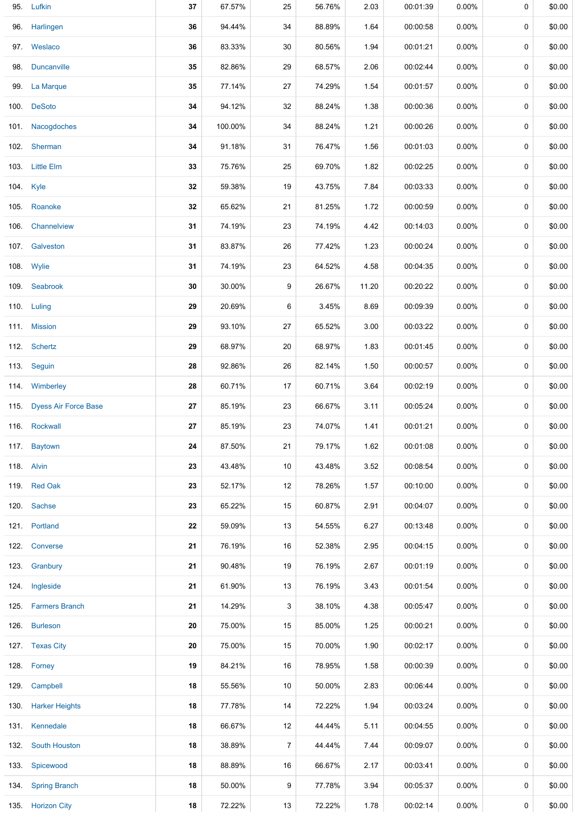| 95. Lufkin                | 37 | 67.57%  | 25             | 56.76% | 2.03  | 00:01:39 | $0.00\%$ | 0 | \$0.00 |
|---------------------------|----|---------|----------------|--------|-------|----------|----------|---|--------|
| 96. Harlingen             | 36 | 94.44%  | 34             | 88.89% | 1.64  | 00:00:58 | 0.00%    | 0 | \$0.00 |
| 97. Weslaco               | 36 | 83.33%  | 30             | 80.56% | 1.94  | 00:01:21 | 0.00%    | 0 | \$0.00 |
| 98. Duncanville           | 35 | 82.86%  | 29             | 68.57% | 2.06  | 00:02:44 | $0.00\%$ | 0 | \$0.00 |
| 99. La Marque             | 35 | 77.14%  | 27             | 74.29% | 1.54  | 00:01:57 | 0.00%    | 0 | \$0.00 |
| 100. DeSoto               | 34 | 94.12%  | 32             | 88.24% | 1.38  | 00:00:36 | 0.00%    | 0 | \$0.00 |
| 101. Nacogdoches          | 34 | 100.00% | 34             | 88.24% | 1.21  | 00:00:26 | 0.00%    | 0 | \$0.00 |
| 102. Sherman              | 34 | 91.18%  | 31             | 76.47% | 1.56  | 00:01:03 | 0.00%    | 0 | \$0.00 |
| 103. Little Elm           | 33 | 75.76%  | 25             | 69.70% | 1.82  | 00:02:25 | 0.00%    | 0 | \$0.00 |
| 104. Kyle                 | 32 | 59.38%  | 19             | 43.75% | 7.84  | 00:03:33 | $0.00\%$ | 0 | \$0.00 |
| 105. Roanoke              | 32 | 65.62%  | 21             | 81.25% | 1.72  | 00:00:59 | $0.00\%$ | 0 | \$0.00 |
| 106. Channelview          | 31 | 74.19%  | 23             | 74.19% | 4.42  | 00:14:03 | 0.00%    | 0 | \$0.00 |
| 107. Galveston            | 31 | 83.87%  | 26             | 77.42% | 1.23  | 00:00:24 | 0.00%    | 0 | \$0.00 |
| 108. Wylie                | 31 | 74.19%  | 23             | 64.52% | 4.58  | 00:04:35 | 0.00%    | 0 | \$0.00 |
| 109. Seabrook             | 30 | 30.00%  | 9              | 26.67% | 11.20 | 00:20:22 | 0.00%    | 0 | \$0.00 |
| 110. Luling               | 29 | 20.69%  | 6              | 3.45%  | 8.69  | 00:09:39 | 0.00%    | 0 | \$0.00 |
| 111. Mission              | 29 | 93.10%  | 27             | 65.52% | 3.00  | 00:03:22 | 0.00%    | 0 | \$0.00 |
| 112. Schertz              | 29 | 68.97%  | 20             | 68.97% | 1.83  | 00:01:45 | 0.00%    | 0 | \$0.00 |
| 113. Seguin               | 28 | 92.86%  | 26             | 82.14% | 1.50  | 00:00:57 | $0.00\%$ | 0 | \$0.00 |
| 114. Wimberley            | 28 | 60.71%  | 17             | 60.71% | 3.64  | 00:02:19 | $0.00\%$ | 0 | \$0.00 |
| 115. Dyess Air Force Base | 27 | 85.19%  | 23             | 66.67% | 3.11  | 00:05:24 | 0.00%    | 0 | \$0.00 |
| 116. Rockwall             | 27 | 85.19%  | 23             | 74.07% | 1.41  | 00:01:21 | 0.00%    | 0 | \$0.00 |
| 117. Baytown              | 24 | 87.50%  | 21             | 79.17% | 1.62  | 00:01:08 | 0.00%    | 0 | \$0.00 |
| 118. Alvin                | 23 | 43.48%  | 10             | 43.48% | 3.52  | 00:08:54 | $0.00\%$ | 0 | \$0.00 |
| 119. Red Oak              | 23 | 52.17%  | 12             | 78.26% | 1.57  | 00:10:00 | 0.00%    | 0 | \$0.00 |
| 120. Sachse               | 23 | 65.22%  | 15             | 60.87% | 2.91  | 00:04:07 | 0.00%    | 0 | \$0.00 |
| 121. Portland             | 22 | 59.09%  | 13             | 54.55% | 6.27  | 00:13:48 | 0.00%    | 0 | \$0.00 |
| 122. Converse             | 21 | 76.19%  | 16             | 52.38% | 2.95  | 00:04:15 | 0.00%    | 0 | \$0.00 |
| 123. Granbury             | 21 | 90.48%  | 19             | 76.19% | 2.67  | 00:01:19 | $0.00\%$ | 0 | \$0.00 |
| 124. Ingleside            | 21 | 61.90%  | 13             | 76.19% | 3.43  | 00:01:54 | $0.00\%$ | 0 | \$0.00 |
| 125. Farmers Branch       | 21 | 14.29%  | 3              | 38.10% | 4.38  | 00:05:47 | $0.00\%$ | 0 | \$0.00 |
| 126. Burleson             | 20 | 75.00%  | 15             | 85.00% | 1.25  | 00:00:21 | 0.00%    | 0 | \$0.00 |
| 127. Texas City           | 20 | 75.00%  | 15             | 70.00% | 1.90  | 00:02:17 | $0.00\%$ | 0 | \$0.00 |
| 128. Forney               | 19 | 84.21%  | 16             | 78.95% | 1.58  | 00:00:39 | 0.00%    | 0 | \$0.00 |
| 129. Campbell             | 18 | 55.56%  | 10             | 50.00% | 2.83  | 00:06:44 | 0.00%    | 0 | \$0.00 |
| 130. Harker Heights       | 18 | 77.78%  | 14             | 72.22% | 1.94  | 00:03:24 | 0.00%    | 0 | \$0.00 |
| 131. Kennedale            | 18 | 66.67%  | 12             | 44.44% | 5.11  | 00:04:55 | 0.00%    | 0 | \$0.00 |
| 132. South Houston        | 18 | 38.89%  | $\overline{7}$ | 44.44% | 7.44  | 00:09:07 | 0.00%    | 0 | \$0.00 |
| 133. Spicewood            | 18 | 88.89%  | 16             | 66.67% | 2.17  | 00:03:41 | $0.00\%$ | 0 | \$0.00 |
| 134. Spring Branch        | 18 | 50.00%  | 9              | 77.78% | 3.94  | 00:05:37 | $0.00\%$ | 0 | \$0.00 |
| 135. Horizon City         | 18 | 72.22%  | 13             | 72.22% | 1.78  | 00:02:14 | 0.00%    | 0 | \$0.00 |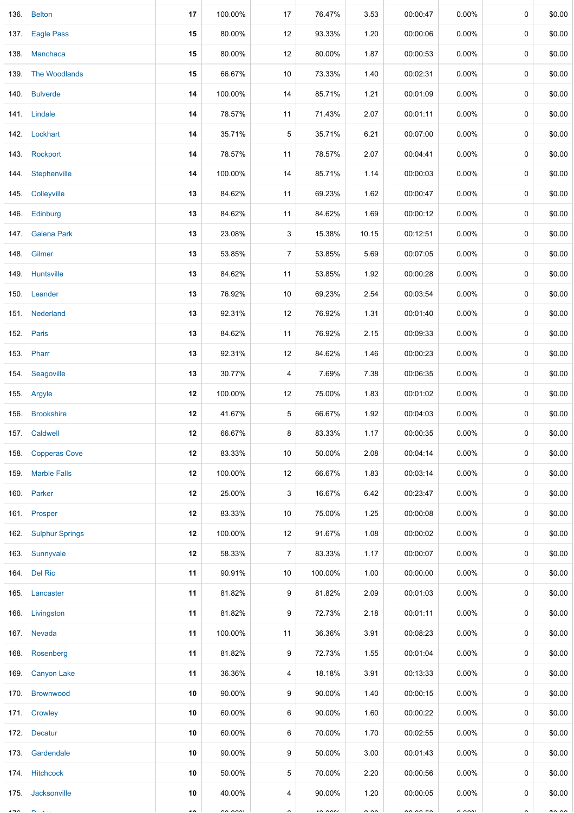|      | 136. Belton          | 17             | 100.00%       | 17               | 76.47%        | 3.53          | 00:00:47             | $0.00\%$             | 0 | \$0.00         |
|------|----------------------|----------------|---------------|------------------|---------------|---------------|----------------------|----------------------|---|----------------|
| 137. | <b>Eagle Pass</b>    | 15             | 80.00%        | 12               | 93.33%        | 1.20          | 00:00:06             | 0.00%                | 0 | \$0.00         |
|      | 138. Manchaca        | 15             | 80.00%        | 12               | 80.00%        | 1.87          | 00:00:53             | $0.00\%$             | 0 | \$0.00         |
|      | 139. The Woodlands   | 15             | 66.67%        | 10               | 73.33%        | 1.40          | 00:02:31             | $0.00\%$             | 0 | \$0.00         |
|      | 140. Bulverde        | 14             | 100.00%       | 14               | 85.71%        | 1.21          | 00:01:09             | 0.00%                | 0 | \$0.00         |
|      | 141. Lindale         | 14             | 78.57%        | 11               | 71.43%        | 2.07          | 00:01:11             | 0.00%                | 0 | \$0.00         |
|      | 142. Lockhart        | 14             | 35.71%        | 5                | 35.71%        | 6.21          | 00:07:00             | 0.00%                | 0 | \$0.00         |
|      | 143. Rockport        | 14             | 78.57%        | 11               | 78.57%        | 2.07          | 00:04:41             | 0.00%                | 0 | \$0.00         |
|      | 144 Stephenville     | 14             | 100.00%       | 14               | 85.71%        | 1.14          | 00:00:03             | $0.00\%$             | 0 | \$0.00         |
|      | 145. Colleyville     | 13             | 84.62%        | 11               | 69.23%        | 1.62          | 00:00:47             | 0.00%                | 0 | \$0.00         |
|      | 146. Edinburg        | 13             | 84.62%        | 11               | 84.62%        | 1.69          | 00:00:12             | $0.00\%$             | 0 | \$0.00         |
|      | 147. Galena Park     | 13             | 23.08%        | 3                | 15.38%        | 10.15         | 00:12:51             | $0.00\%$             | 0 | \$0.00         |
|      | 148. Gilmer          | 13             | 53.85%        | $\boldsymbol{7}$ | 53.85%        | 5.69          | 00:07:05             | 0.00%                | 0 | \$0.00         |
|      | 149. Huntsville      | 13             | 84.62%        | 11               | 53.85%        | 1.92          | 00:00:28             | 0.00%                | 0 | \$0.00         |
|      | 150. Leander         | 13             | 76.92%        | 10               | 69.23%        | 2.54          | 00:03:54             | 0.00%                | 0 | \$0.00         |
|      | 151. Nederland       | 13             | 92.31%        | 12               | 76.92%        | 1.31          | 00:01:40             | $0.00\%$             | 0 | \$0.00         |
|      | 152. Paris           | 13             | 84.62%        | 11               | 76.92%        | 2.15          | 00:09:33             | 0.00%                | 0 | \$0.00         |
|      | 153. Pharr           | 13             | 92.31%        | 12               | 84.62%        | 1.46          | 00:00:23             | 0.00%                | 0 | \$0.00         |
|      | 154. Seagoville      | 13             | 30.77%        | 4                | 7.69%         | 7.38          | 00:06:35             | 0.00%                | 0 | \$0.00         |
|      | 155. Argyle          | 12             | 100.00%       | 12               | 75.00%        | 1.83          | 00:01:02             | 0.00%                | 0 | \$0.00         |
|      | 156. Brookshire      | 12             | 41.67%        | 5                | 66.67%        | 1.92          | 00:04:03             | 0.00%                | 0 | \$0.00         |
|      | 157. Caldwell        | 12             | 66.67%        | 8                | 83.33%        | 1.17          | 00:00:35             | $0.00\%$             | 0 | \$0.00         |
|      | 158. Copperas Cove   | 12             | 83.33%        | 10               | 50.00%        | 2.08          | 00:04:14             | $0.00\%$             | 0 | \$0.00         |
|      | 159. Marble Falls    | 12             | 100.00%       | 12               | 66.67%        | 1.83          | 00:03:14             | $0.00\%$             | 0 | \$0.00         |
|      | 160. Parker          | 12             | 25.00%        | 3                | 16.67%        | 6.42          | 00:23:47             | $0.00\%$             | 0 | \$0.00         |
|      | 161. Prosper         | 12             | 83.33%        | 10               | 75.00%        | 1.25          | 00:00:08             | 0.00%                | 0 | \$0.00         |
|      | 162. Sulphur Springs | 12             | 100.00%       | 12               | 91.67%        | 1.08          | 00:00:02             | $0.00\%$             | 0 | \$0.00         |
|      | 163. Sunnyvale       | 12             | 58.33%        | $\overline{7}$   | 83.33%        | 1.17          | 00:00:07             | $0.00\%$             | 0 | \$0.00         |
|      | 164. Del Rio         | 11             | 90.91%        | 10               | 100.00%       | 1.00          | 00:00:00             | $0.00\%$             | 0 | \$0.00         |
|      | 165. Lancaster       | 11             | 81.82%        | 9                | 81.82%        | 2.09          | 00:01:03             | $0.00\%$             | 0 | \$0.00         |
|      | 166. Livingston      | 11             | 81.82%        | 9                | 72.73%        | 2.18          | 00:01:11             | $0.00\%$             | 0 | \$0.00         |
|      | 167. Nevada          | 11             | 100.00%       | 11               | 36.36%        | 3.91          | 00:08:23             | $0.00\%$             | 0 | \$0.00         |
|      | 168. Rosenberg       | 11             | 81.82%        | 9                | 72.73%        | 1.55          | 00:01:04             | $0.00\%$             | 0 | \$0.00         |
|      | 169. Canyon Lake     | 11             | 36.36%        | 4                | 18.18%        | 3.91          | 00:13:33             | $0.00\%$             | 0 | \$0.00         |
|      | 170. Brownwood       | 10             | 90.00%        | 9                | 90.00%        | 1.40          | 00:00:15             | $0.00\%$             | 0 | \$0.00         |
|      | 171. Crowley         | 10             | 60.00%        | 6                | 90.00%        | 1.60          | 00:00:22             | $0.00\%$             | 0 | \$0.00         |
|      | 172. Decatur         | 10             | 60.00%        | 6                | 70.00%        | 1.70          | 00:02:55             | $0.00\%$             | 0 | \$0.00         |
|      | 173. Gardendale      | 10             | 90.00%        | 9                | 50.00%        | 3.00          | 00:01:43             | $0.00\%$             | 0 | \$0.00         |
|      | 174. Hitchcock       | 10             | 50.00%        | 5                | 70.00%        | 2.20          | 00:00:56             | $0.00\%$             | 0 | \$0.00         |
|      | 175. Jacksonville    | 10             | 40.00%        | 4                | 90.00%        | 1.20          | 00:00:05             | $0.00\%$             | 0 | \$0.00         |
|      |                      | $\overline{a}$ | $\sim$ $\sim$ | $\sim$           | $\sim$ $\sim$ | $\sim$ $\sim$ | $\sim$ $\sim$ $\sim$ | $\sim$ $\sim$ $\sim$ |   | $\overline{a}$ |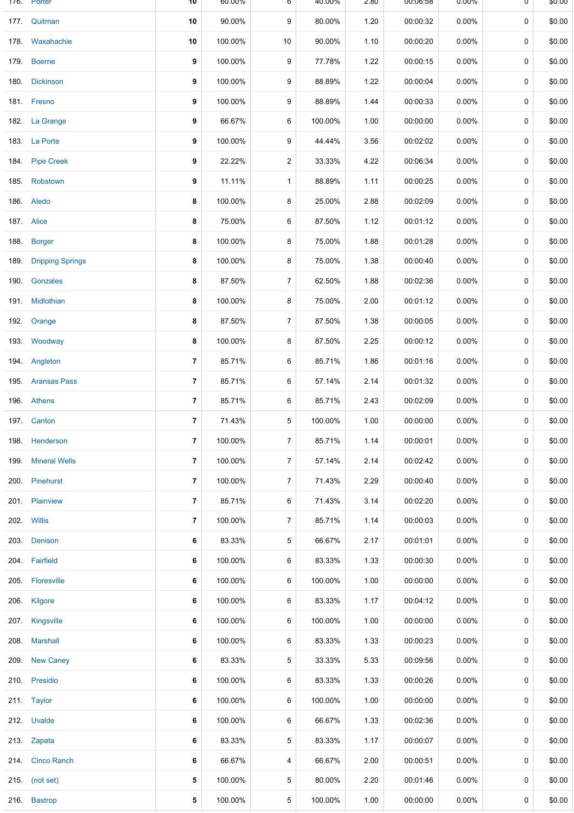|      | 176. Porter           | 10                       | 60.00%  | 6              | 40.00%  | 2.80 | 00:00:08 | 0.00%    | U | \$0.00 |
|------|-----------------------|--------------------------|---------|----------------|---------|------|----------|----------|---|--------|
|      | 177. Quitman          | 10                       | 90.00%  | 9              | 80.00%  | 1.20 | 00:00:32 | 0.00%    | 0 | \$0.00 |
|      | 178 Waxahachie        | 10                       | 100.00% | 10             | 90.00%  | 1.10 | 00:00:20 | 0.00%    | 0 | \$0.00 |
|      | 179. Boerne           | 9                        | 100.00% | 9              | 77.78%  | 1.22 | 00:00:15 | 0.00%    | 0 | \$0.00 |
|      | 180. Dickinson        | 9                        | 100.00% | 9              | 88.89%  | 1.22 | 00:00:04 | 0.00%    | 0 | \$0.00 |
|      | 181. Fresno           | 9                        | 100.00% | 9              | 88.89%  | 1.44 | 00:00:33 | 0.00%    | 0 | \$0.00 |
|      | 182. La Grange        | 9                        | 66.67%  | 6              | 100.00% | 1.00 | 00:00:00 | 0.00%    | 0 | \$0.00 |
|      | 183. La Porte         | 9                        | 100.00% | 9              | 44.44%  | 3.56 | 00:02:02 | 0.00%    | 0 | \$0.00 |
|      | 184. Pipe Creek       | 9                        | 22.22%  | 2              | 33.33%  | 4.22 | 00:06:34 | 0.00%    | 0 | \$0.00 |
|      | 185. Robstown         | 9                        | 11.11%  | $\mathbf{1}$   | 88.89%  | 1.11 | 00:00:25 | $0.00\%$ | 0 | \$0.00 |
|      | 186. Aledo            | 8                        | 100.00% | 8              | 25.00%  | 2.88 | 00:02:09 | 0.00%    | 0 | \$0.00 |
|      | 187. Alice            | 8                        | 75.00%  | 6              | 87.50%  | 1.12 | 00:01:12 | 0.00%    | 0 | \$0.00 |
|      | 188. Borger           | 8                        | 100.00% | 8              | 75.00%  | 1.88 | 00:01:28 | 0.00%    | 0 | \$0.00 |
|      | 189. Dripping Springs | 8                        | 100.00% | 8              | 75.00%  | 1.38 | 00:00:40 | 0.00%    | 0 | \$0.00 |
|      | 190. Gonzales         | 8                        | 87.50%  | 7              | 62.50%  | 1.88 | 00:02:36 | 0.00%    | 0 | \$0.00 |
|      | 191. Midlothian       | 8                        | 100.00% | 8              | 75.00%  | 2.00 | 00:01:12 | 0.00%    | 0 | \$0.00 |
|      | 192. Orange           | 8                        | 87.50%  | $\overline{7}$ | 87.50%  | 1.38 | 00:00:05 | 0.00%    | 0 | \$0.00 |
|      | 193. Woodway          | 8                        | 100.00% | 8              | 87.50%  | 2.25 | 00:00:12 | 0.00%    | 0 | \$0.00 |
|      | 194. Angleton         | $\overline{\phantom{a}}$ | 85.71%  | 6              | 85.71%  | 1.86 | 00:01:16 | 0.00%    | 0 | \$0.00 |
|      | 195. Aransas Pass     | $\overline{7}$           | 85.71%  | 6              | 57.14%  | 2.14 | 00:01:32 | 0.00%    | 0 | \$0.00 |
|      | 196. Athens           | 7                        | 85.71%  | 6              | 85.71%  | 2.43 | 00:02:09 | 0.00%    | 0 | \$0.00 |
|      | 197. Canton           | $\overline{7}$           | 71.43%  | 5              | 100.00% | 1.00 | 00:00:00 | 0.00%    | 0 | \$0.00 |
|      | 198. Henderson        | 7                        | 100.00% | $\overline{7}$ | 85.71%  | 1.14 | 00:00:01 | 0.00%    | 0 | \$0.00 |
| 199. | <b>Mineral Wells</b>  | 7                        | 100.00% | $\overline{7}$ | 57.14%  | 2.14 | 00:02:42 | 0.00%    | 0 | \$0.00 |
|      | 200. Pinehurst        | $\overline{\phantom{a}}$ | 100.00% | 7              | 71.43%  | 2.29 | 00:00:40 | $0.00\%$ | 0 | \$0.00 |
|      | 201. Plainview        | 7                        | 85.71%  | 6              | 71.43%  | 3.14 | 00:02:20 | 0.00%    | 0 | \$0.00 |
|      | 202. Willis           | $\overline{7}$           | 100.00% | $\overline{7}$ | 85.71%  | 1.14 | 00:00:03 | 0.00%    | 0 | \$0.00 |
|      | 203. Denison          | 6                        | 83.33%  | 5              | 66.67%  | 2.17 | 00:01:01 | 0.00%    | 0 | \$0.00 |
|      | 204. Fairfield        | 6                        | 100.00% | 6              | 83.33%  | 1.33 | 00:00:30 | 0.00%    | 0 | \$0.00 |
|      | 205. Floresville      | 6                        | 100.00% | 6              | 100.00% | 1.00 | 00:00:00 | $0.00\%$ | 0 | \$0.00 |
|      | 206. Kilgore          | 6                        | 100.00% | 6              | 83.33%  | 1.17 | 00:04:12 | 0.00%    | 0 | \$0.00 |
|      | 207. Kingsville       | 6                        | 100.00% | 6              | 100.00% | 1.00 | 00:00:00 | 0.00%    | 0 | \$0.00 |
|      | 208. Marshall         | 6                        | 100.00% | 6              | 83.33%  | 1.33 | 00:00:23 | $0.00\%$ | 0 | \$0.00 |
|      | 209. New Caney        | 6                        | 83.33%  | 5              | 33.33%  | 5.33 | 00:09:56 | $0.00\%$ | 0 | \$0.00 |
|      | 210. Presidio         | 6                        | 100.00% | 6              | 83.33%  | 1.33 | 00:00:26 | 0.00%    | 0 | \$0.00 |
|      | 211. Taylor           | 6                        | 100.00% | 6              | 100.00% | 1.00 | 00:00:00 | 0.00%    | 0 | \$0.00 |
|      | 212. Uvalde           | 6                        | 100.00% | 6              | 66.67%  | 1.33 | 00:02:36 | 0.00%    | 0 | \$0.00 |
|      | 213. Zapata           | 6                        | 83.33%  | 5              | 83.33%  | 1.17 | 00:00:07 | $0.00\%$ | 0 | \$0.00 |
|      | 214. Cinco Ranch      | 6                        | 66.67%  | 4              | 66.67%  | 2.00 | 00:00:51 | $0.00\%$ | 0 | \$0.00 |
|      | 215. (not set)        | 5                        | 100.00% | 5              | 80.00%  | 2.20 | 00:01:46 | 0.00%    | 0 | \$0.00 |
|      | 216. Bastrop          | 5                        | 100.00% | 5              | 100.00% | 1.00 | 00:00:00 | $0.00\%$ | 0 | \$0.00 |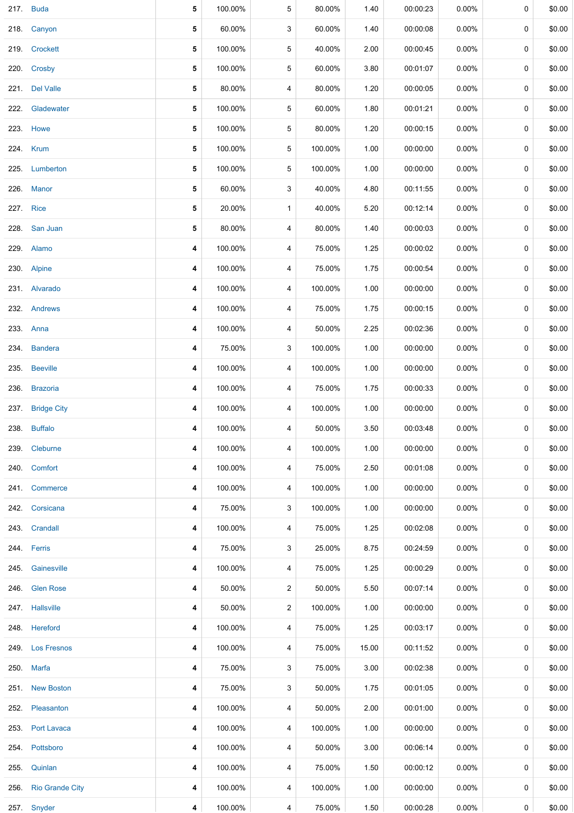|           | 217. Buda            | 5 | 100.00% | 5              | 80.00%  | 1.40  | 00:00:23 | 0.00%    | 0 | \$0.00 |
|-----------|----------------------|---|---------|----------------|---------|-------|----------|----------|---|--------|
|           | 218. Canyon          | 5 | 60.00%  | 3              | 60.00%  | 1.40  | 00:00:08 | 0.00%    | 0 | \$0.00 |
|           | 219. Crockett        | 5 | 100.00% | 5              | 40.00%  | 2.00  | 00:00:45 | $0.00\%$ | 0 | \$0.00 |
|           | 220. Crosby          | 5 | 100.00% | 5              | 60.00%  | 3.80  | 00:01:07 | 0.00%    | 0 | \$0.00 |
|           | 221. Del Valle       | 5 | 80.00%  | 4              | 80.00%  | 1.20  | 00:00:05 | 0.00%    | 0 | \$0.00 |
|           | 222. Gladewater      | 5 | 100.00% | $\sqrt{5}$     | 60.00%  | 1.80  | 00:01:21 | $0.00\%$ | 0 | \$0.00 |
|           | 223. Howe            | 5 | 100.00% | 5              | 80.00%  | 1.20  | 00:00:15 | 0.00%    | 0 | \$0.00 |
|           | 224. Krum            | 5 | 100.00% | 5              | 100.00% | 1.00  | 00:00:00 | $0.00\%$ | 0 | \$0.00 |
|           | 225. Lumberton       | 5 | 100.00% | 5              | 100.00% | 1.00  | 00:00:00 | $0.00\%$ | 0 | \$0.00 |
|           | 226. Manor           | 5 | 60.00%  | 3              | 40.00%  | 4.80  | 00:11:55 | 0.00%    | 0 | \$0.00 |
| 227. Rice |                      | 5 | 20.00%  | $\mathbf{1}$   | 40.00%  | 5.20  | 00:12:14 | $0.00\%$ | 0 | \$0.00 |
|           | 228. San Juan        | 5 | 80.00%  | 4              | 80.00%  | 1.40  | 00:00:03 | 0.00%    | 0 | \$0.00 |
|           | 229. Alamo           | 4 | 100.00% | 4              | 75.00%  | 1.25  | 00:00:02 | $0.00\%$ | 0 | \$0.00 |
|           | 230. Alpine          | 4 | 100.00% | 4              | 75.00%  | 1.75  | 00:00:54 | 0.00%    | 0 | \$0.00 |
|           | 231. Alvarado        | 4 | 100.00% | 4              | 100.00% | 1.00  | 00:00:00 | $0.00\%$ | 0 | \$0.00 |
|           | 232. Andrews         | 4 | 100.00% | 4              | 75.00%  | 1.75  | 00:00:15 | 0.00%    | 0 | \$0.00 |
|           | 233. Anna            | 4 | 100.00% | 4              | 50.00%  | 2.25  | 00:02:36 | $0.00\%$ | 0 | \$0.00 |
| 234.      | <b>Bandera</b>       | 4 | 75.00%  | 3              | 100.00% | 1.00  | 00:00:00 | $0.00\%$ | 0 | \$0.00 |
|           | 235. Beeville        | 4 | 100.00% | 4              | 100.00% | 1.00  | 00:00:00 | $0.00\%$ | 0 | \$0.00 |
|           | 236. Brazoria        | 4 | 100.00% | 4              | 75.00%  | 1.75  | 00:00:33 | $0.00\%$ | 0 | \$0.00 |
|           | 237. Bridge City     | 4 | 100.00% | 4              | 100.00% | 1.00  | 00:00:00 | 0.00%    | 0 | \$0.00 |
|           | 238. Buffalo         | 4 | 100.00% | 4              | 50.00%  | 3.50  | 00:03:48 | 0.00%    | 0 | \$0.00 |
|           | 239. Cleburne        | 4 | 100.00% | 4              | 100.00% | 1.00  | 00:00:00 | $0.00\%$ | 0 | \$0.00 |
|           | 240. Comfort         | 4 | 100.00% | 4              | 75.00%  | 2.50  | 00:01:08 | $0.00\%$ | 0 | \$0.00 |
|           | 241. Commerce        | 4 | 100.00% | 4              | 100.00% | 1.00  | 00:00:00 | $0.00\%$ | 0 | \$0.00 |
|           | 242. Corsicana       | 4 | 75.00%  | 3              | 100.00% | 1.00  | 00:00:00 | $0.00\%$ | 0 | \$0.00 |
|           | 243. Crandall        | 4 | 100.00% | 4              | 75.00%  | 1.25  | 00:02:08 | $0.00\%$ | 0 | \$0.00 |
|           | 244. Ferris          | 4 | 75.00%  | 3              | 25.00%  | 8.75  | 00:24:59 | $0.00\%$ | 0 | \$0.00 |
|           | 245. Gainesville     | 4 | 100.00% | 4              | 75.00%  | 1.25  | 00:00:29 | $0.00\%$ | 0 | \$0.00 |
|           | 246. Glen Rose       | 4 | 50.00%  | $\overline{2}$ | 50.00%  | 5.50  | 00:07:14 | 0.00%    | 0 | \$0.00 |
|           | 247. Hallsville      | 4 | 50.00%  | $\overline{2}$ | 100.00% | 1.00  | 00:00:00 | 0.00%    | 0 | \$0.00 |
|           | 248. Hereford        | 4 | 100.00% | 4              | 75.00%  | 1.25  | 00:03:17 | 0.00%    | 0 | \$0.00 |
|           | 249. Los Fresnos     | 4 | 100.00% | 4              | 75.00%  | 15.00 | 00:11:52 | $0.00\%$ | 0 | \$0.00 |
|           | 250. Marfa           | 4 | 75.00%  | 3              | 75.00%  | 3.00  | 00:02:38 | $0.00\%$ | 0 | \$0.00 |
|           | 251. New Boston      | 4 | 75.00%  | 3              | 50.00%  | 1.75  | 00:01:05 | 0.00%    | 0 | \$0.00 |
|           | 252. Pleasanton      | 4 | 100.00% | 4              | 50.00%  | 2.00  | 00:01:00 | 0.00%    | 0 | \$0.00 |
|           | 253. Port Lavaca     | 4 | 100.00% | 4              | 100.00% | 1.00  | 00:00:00 | $0.00\%$ | 0 | \$0.00 |
|           | 254. Pottsboro       | 4 | 100.00% | 4              | 50.00%  | 3.00  | 00:06:14 | $0.00\%$ | 0 | \$0.00 |
|           | 255. Quinlan         | 4 | 100.00% | 4              | 75.00%  | 1.50  | 00:00:12 | $0.00\%$ | 0 | \$0.00 |
|           | 256. Rio Grande City | 4 | 100.00% | 4              | 100.00% | 1.00  | 00:00:00 | $0.00\%$ | 0 | \$0.00 |
|           | 257. Snyder          | 4 | 100.00% | $\overline{4}$ | 75.00%  | 1.50  | 00:00:28 | $0.00\%$ | 0 | \$0.00 |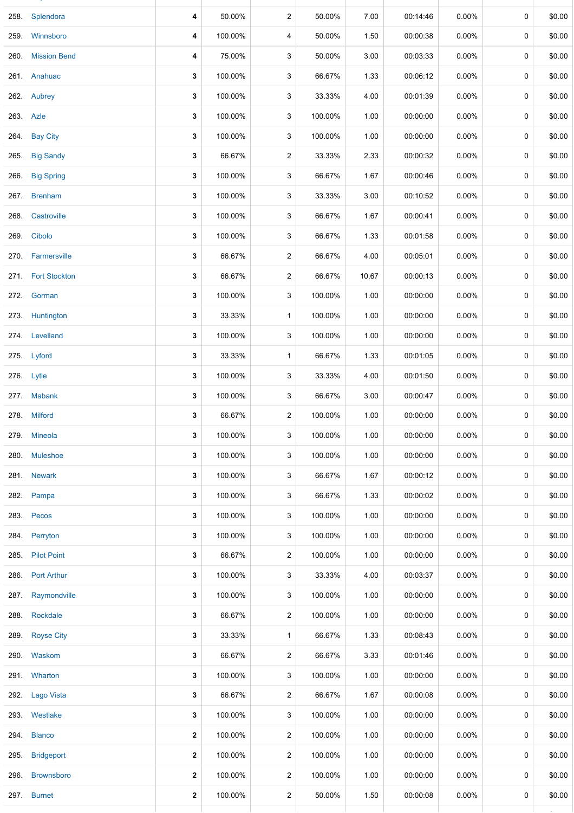| 258. | Splendora          | 4            | 50.00%  | $\overline{c}$ | 50.00%  | 7.00  | 00:14:46 | 0.00%    | 0 | \$0.00 |
|------|--------------------|--------------|---------|----------------|---------|-------|----------|----------|---|--------|
|      | 259 Winnsboro      | 4            | 100.00% | 4              | 50.00%  | 1.50  | 00:00:38 | $0.00\%$ | 0 | \$0.00 |
|      | 260. Mission Bend  | 4            | 75.00%  | 3              | 50.00%  | 3.00  | 00:03:33 | $0.00\%$ | 0 | \$0.00 |
|      | 261. Anahuac       | 3            | 100.00% | 3              | 66.67%  | 1.33  | 00:06:12 | 0.00%    | 0 | \$0.00 |
|      | 262. Aubrey        | 3            | 100.00% | 3              | 33.33%  | 4.00  | 00:01:39 | $0.00\%$ | 0 | \$0.00 |
|      | 263. Azle          | 3            | 100.00% | 3              | 100.00% | 1.00  | 00:00:00 | 0.00%    | 0 | \$0.00 |
|      | 264. Bay City      | 3            | 100.00% | 3              | 100.00% | 1.00  | 00:00:00 | $0.00\%$ | 0 | \$0.00 |
|      | 265. Big Sandy     | 3            | 66.67%  | $\overline{c}$ | 33.33%  | 2.33  | 00:00:32 | $0.00\%$ | 0 | \$0.00 |
|      | 266. Big Spring    | 3            | 100.00% | 3              | 66.67%  | 1.67  | 00:00:46 | 0.00%    | 0 | \$0.00 |
|      | 267. Brenham       | 3            | 100.00% | 3              | 33.33%  | 3.00  | 00:10:52 | 0.00%    | 0 | \$0.00 |
|      | 268. Castroville   | 3            | 100.00% | 3              | 66.67%  | 1.67  | 00:00:41 | $0.00\%$ | 0 | \$0.00 |
| 269. | Cibolo             | 3            | 100.00% | 3              | 66.67%  | 1.33  | 00:01:58 | 0.00%    | 0 | \$0.00 |
|      | 270. Farmersville  | 3            | 66.67%  | $\overline{c}$ | 66.67%  | 4.00  | 00:05:01 | 0.00%    | 0 | \$0.00 |
|      | 271. Fort Stockton | 3            | 66.67%  | $\overline{c}$ | 66.67%  | 10.67 | 00:00:13 | $0.00\%$ | 0 | \$0.00 |
|      | 272. Gorman        | 3            | 100.00% | 3              | 100.00% | 1.00  | 00:00:00 | $0.00\%$ | 0 | \$0.00 |
|      | 273. Huntington    | 3            | 33.33%  | $\mathbf{1}$   | 100.00% | 1.00  | 00:00:00 | $0.00\%$ | 0 | \$0.00 |
|      | 274. Levelland     | 3            | 100.00% | 3              | 100.00% | 1.00  | 00:00:00 | $0.00\%$ | 0 | \$0.00 |
|      | 275. Lyford        | 3            | 33.33%  | $\mathbf{1}$   | 66.67%  | 1.33  | 00:01:05 | $0.00\%$ | 0 | \$0.00 |
|      | 276. Lytle         | 3            | 100.00% | 3              | 33.33%  | 4.00  | 00:01:50 | $0.00\%$ | 0 | \$0.00 |
|      | 277. Mabank        | 3            | 100.00% | 3              | 66.67%  | 3.00  | 00:00:47 | 0.00%    | 0 | \$0.00 |
|      | 278. Milford       | 3            | 66.67%  | $\overline{2}$ | 100.00% | 1.00  | 00:00:00 | 0.00%    | 0 | \$0.00 |
|      | 279. Mineola       | 3            | 100.00% | 3              | 100.00% | 1.00  | 00:00:00 | 0.00%    | 0 | \$0.00 |
|      | 280. Muleshoe      | 3            | 100.00% | 3              | 100.00% | 1.00  | 00:00:00 | 0.00%    | 0 | \$0.00 |
|      | 281. Newark        | 3            | 100.00% | 3              | 66.67%  | 1.67  | 00:00:12 | $0.00\%$ | 0 | \$0.00 |
| 282. | Pampa              | 3            | 100.00% | 3              | 66.67%  | 1.33  | 00:00:02 | $0.00\%$ | 0 | \$0.00 |
|      | 283. Pecos         | 3            | 100.00% | 3              | 100.00% | 1.00  | 00:00:00 | $0.00\%$ | 0 | \$0.00 |
|      | 284. Perryton      | 3            | 100.00% | 3              | 100.00% | 1.00  | 00:00:00 | $0.00\%$ | 0 | \$0.00 |
|      | 285. Pilot Point   | 3            | 66.67%  | $\overline{c}$ | 100.00% | 1.00  | 00:00:00 | $0.00\%$ | 0 | \$0.00 |
|      | 286. Port Arthur   | 3            | 100.00% | 3              | 33.33%  | 4.00  | 00:03:37 | $0.00\%$ | 0 | \$0.00 |
| 287. | Raymondville       | 3            | 100.00% | 3              | 100.00% | 1.00  | 00:00:00 | $0.00\%$ | 0 | \$0.00 |
|      | 288. Rockdale      | 3            | 66.67%  | $\overline{c}$ | 100.00% | 1.00  | 00:00:00 | 0.00%    | 0 | \$0.00 |
| 289. | <b>Royse City</b>  | 3            | 33.33%  | $\mathbf{1}$   | 66.67%  | 1.33  | 00:08:43 | $0.00\%$ | 0 | \$0.00 |
|      | 290. Waskom        | 3            | 66.67%  | $\overline{c}$ | 66.67%  | 3.33  | 00:01:46 | $0.00\%$ | 0 | \$0.00 |
|      | 291. Wharton       | 3            | 100.00% | 3              | 100.00% | 1.00  | 00:00:00 | $0.00\%$ | 0 | \$0.00 |
|      | 292. Lago Vista    | 3            | 66.67%  | $\overline{c}$ | 66.67%  | 1.67  | 00:00:08 | $0.00\%$ | 0 | \$0.00 |
|      | 293. Westlake      | 3            | 100.00% | 3              | 100.00% | 1.00  | 00:00:00 | $0.00\%$ | 0 | \$0.00 |
|      | 294. Blanco        | 2            | 100.00% | $\overline{c}$ | 100.00% | 1.00  | 00:00:00 | $0.00\%$ | 0 | \$0.00 |
|      | 295. Bridgeport    | 2            | 100.00% | 2              | 100.00% | 1.00  | 00:00:00 | $0.00\%$ | 0 | \$0.00 |
| 296. | <b>Brownsboro</b>  | $\mathbf{2}$ | 100.00% | $\overline{c}$ | 100.00% | 1.00  | 00:00:00 | $0.00\%$ | 0 | \$0.00 |
|      | 297. Burnet        | 2            | 100.00% | 2              | 50.00%  | 1.50  | 00:00:08 | 0.00%    | 0 | \$0.00 |
|      |                    |              |         |                |         |       |          |          |   |        |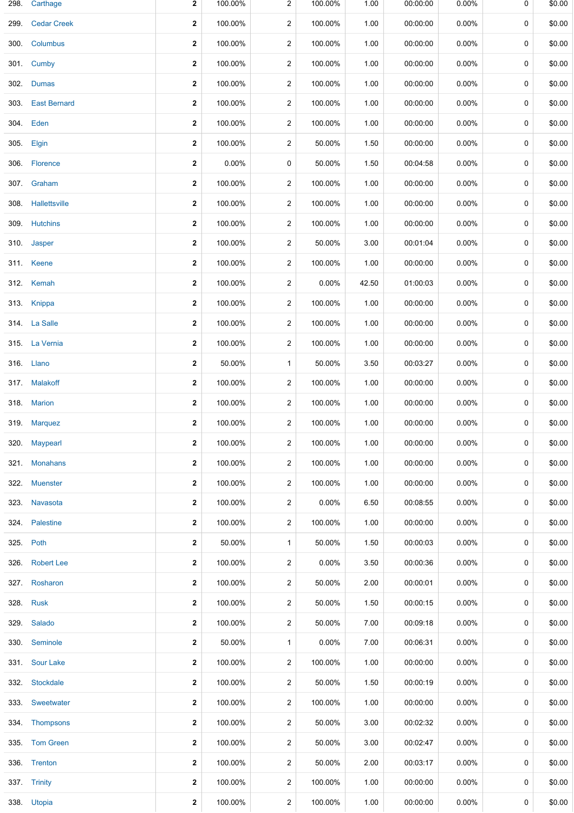| 298. | Carthage           | 2            | 100.00%  | $\overline{c}$          | 100.00% | 1.00  | 00:00:00 | 0.00%    | 0           | \$0.00 |
|------|--------------------|--------------|----------|-------------------------|---------|-------|----------|----------|-------------|--------|
|      | 299. Cedar Creek   | $\mathbf 2$  | 100.00%  | 2                       | 100.00% | 1.00  | 00:00:00 | 0.00%    | 0           | \$0.00 |
|      | 300. Columbus      | $\mathbf 2$  | 100.00%  | $\overline{c}$          | 100.00% | 1.00  | 00:00:00 | $0.00\%$ | 0           | \$0.00 |
|      | 301. Cumby         | $\mathbf{2}$ | 100.00%  | $\overline{2}$          | 100.00% | 1.00  | 00:00:00 | $0.00\%$ | 0           | \$0.00 |
|      | 302. Dumas         | 2            | 100.00%  | 2                       | 100.00% | 1.00  | 00:00:00 | $0.00\%$ | 0           | \$0.00 |
|      | 303. East Bernard  | $\mathbf 2$  | 100.00%  | $\overline{c}$          | 100.00% | 1.00  | 00:00:00 | 0.00%    | 0           | \$0.00 |
|      | 304. Eden          | $\mathbf 2$  | 100.00%  | $\overline{c}$          | 100.00% | 1.00  | 00:00:00 | $0.00\%$ | 0           | \$0.00 |
|      | 305. Elgin         | $\mathbf 2$  | 100.00%  | $\overline{2}$          | 50.00%  | 1.50  | 00:00:00 | 0.00%    | 0           | \$0.00 |
|      | 306. Florence      | $\mathbf 2$  | $0.00\%$ | 0                       | 50.00%  | 1.50  | 00:04:58 | $0.00\%$ | 0           | \$0.00 |
|      | 307. Graham        | $\mathbf 2$  | 100.00%  | $\overline{c}$          | 100.00% | 1.00  | 00:00:00 | $0.00\%$ | 0           | \$0.00 |
|      | 308. Hallettsville | $\mathbf 2$  | 100.00%  | $\overline{c}$          | 100.00% | 1.00  | 00:00:00 | 0.00%    | 0           | \$0.00 |
|      | 309. Hutchins      | $\mathbf 2$  | 100.00%  | $\overline{c}$          | 100.00% | 1.00  | 00:00:00 | 0.00%    | $\mathbf 0$ | \$0.00 |
|      | 310. Jasper        | $\mathbf 2$  | 100.00%  | $\overline{c}$          | 50.00%  | 3.00  | 00:01:04 | $0.00\%$ | 0           | \$0.00 |
|      | 311. Keene         | 2            | 100.00%  | $\overline{c}$          | 100.00% | 1.00  | 00:00:00 | $0.00\%$ | 0           | \$0.00 |
|      | 312. Kemah         | 2            | 100.00%  | $\overline{c}$          | 0.00%   | 42.50 | 01:00:03 | $0.00\%$ | 0           | \$0.00 |
|      | 313. Knippa        | 2            | 100.00%  | $\overline{\mathbf{c}}$ | 100.00% | 1.00  | 00:00:00 | $0.00\%$ | 0           | \$0.00 |
|      | 314. La Salle      | $\mathbf 2$  | 100.00%  | $\overline{c}$          | 100.00% | 1.00  | 00:00:00 | 0.00%    | 0           | \$0.00 |
|      | 315. La Vernia     | $\mathbf 2$  | 100.00%  | $\overline{c}$          | 100.00% | 1.00  | 00:00:00 | 0.00%    | 0           | \$0.00 |
|      | 316. Llano         | 2            | 50.00%   | $\mathbf{1}$            | 50.00%  | 3.50  | 00:03:27 | 0.00%    | 0           | \$0.00 |
|      | 317. Malakoff      | $\mathbf 2$  | 100.00%  | $\overline{c}$          | 100.00% | 1.00  | 00:00:00 | $0.00\%$ | 0           | \$0.00 |
|      | 318. Marion        | $\mathbf 2$  | 100.00%  | $\overline{c}$          | 100.00% | 1.00  | 00:00:00 | 0.00%    | $\mathbf 0$ | \$0.00 |
|      | 319. Marquez       | $\mathbf{2}$ | 100.00%  | $\overline{2}$          | 100.00% | 1.00  | 00:00:00 | 0.00%    | 0           | \$0.00 |
|      | 320. Maypearl      | 2            | 100.00%  | $\overline{c}$          | 100.00% | 1.00  | 00:00:00 | 0.00%    | 0           | \$0.00 |
| 321. | <b>Monahans</b>    | $\mathbf{2}$ | 100.00%  | $\overline{c}$          | 100.00% | 1.00  | 00:00:00 | 0.00%    | 0           | \$0.00 |
| 322. | <b>Muenster</b>    | 2            | 100.00%  | $\overline{c}$          | 100.00% | 1.00  | 00:00:00 | $0.00\%$ | 0           | \$0.00 |
|      | 323. Navasota      | $\mathbf 2$  | 100.00%  | $\overline{c}$          | 0.00%   | 6.50  | 00:08:55 | 0.00%    | 0           | \$0.00 |
|      | 324. Palestine     | 2            | 100.00%  | $\overline{c}$          | 100.00% | 1.00  | 00:00:00 | $0.00\%$ | 0           | \$0.00 |
|      | 325. Poth          | 2            | 50.00%   | $\mathbf{1}$            | 50.00%  | 1.50  | 00:00:03 | 0.00%    | 0           | \$0.00 |
|      | 326. Robert Lee    | 2            | 100.00%  | $\overline{c}$          | 0.00%   | 3.50  | 00:00:36 | $0.00\%$ | 0           | \$0.00 |
|      | 327. Rosharon      | $\mathbf{2}$ | 100.00%  | $\overline{c}$          | 50.00%  | 2.00  | 00:00:01 | 0.00%    | 0           | \$0.00 |
|      | 328. Rusk          | $\mathbf 2$  | 100.00%  | $\overline{c}$          | 50.00%  | 1.50  | 00:00:15 | 0.00%    | 0           | \$0.00 |
|      | 329. Salado        | 2            | 100.00%  | $\overline{c}$          | 50.00%  | 7.00  | 00:09:18 | 0.00%    | 0           | \$0.00 |
|      | 330. Seminole      | 2            | 50.00%   | $\mathbf{1}$            | 0.00%   | 7.00  | 00:06:31 | 0.00%    | 0           | \$0.00 |
|      | 331. Sour Lake     | 2            | 100.00%  | 2                       | 100.00% | 1.00  | 00:00:00 | $0.00\%$ | 0           | \$0.00 |
|      | 332. Stockdale     | $\mathbf{2}$ | 100.00%  | $\overline{c}$          | 50.00%  | 1.50  | 00:00:19 | 0.00%    | 0           | \$0.00 |
|      | 333. Sweetwater    | 2            | 100.00%  | $\overline{c}$          | 100.00% | 1.00  | 00:00:00 | $0.00\%$ | 0           | \$0.00 |
|      | 334. Thompsons     | 2            | 100.00%  | $\overline{c}$          | 50.00%  | 3.00  | 00:02:32 | 0.00%    | 0           | \$0.00 |
|      | 335. Tom Green     | 2            | 100.00%  | $\overline{c}$          | 50.00%  | 3.00  | 00:02:47 | 0.00%    | 0           | \$0.00 |
|      | 336. Trenton       | 2            | 100.00%  | $\overline{c}$          | 50.00%  | 2.00  | 00:03:17 | 0.00%    | 0           | \$0.00 |
|      | 337. Trinity       | $\mathbf 2$  | 100.00%  | $\overline{c}$          | 100.00% | 1.00  | 00:00:00 | 0.00%    | 0           | \$0.00 |
|      | 338. Utopia        | $\mathbf{2}$ | 100.00%  | 2                       | 100.00% | 1.00  | 00:00:00 | $0.00\%$ | 0           | \$0.00 |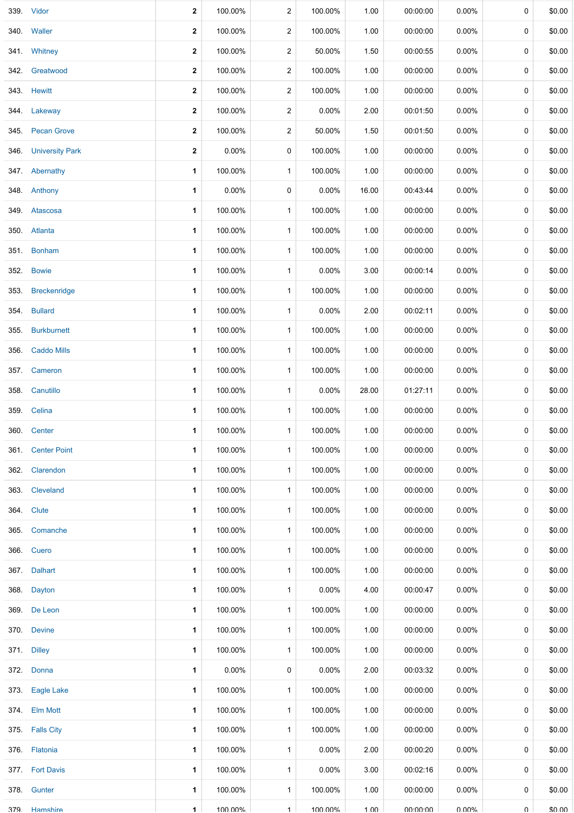|      | 339. Vidor           | 2           | 100.00%  | $\overline{2}$ | 100.00% | 1.00  | 00:00:00 | 0.00%    | 0 | \$0.00 |
|------|----------------------|-------------|----------|----------------|---------|-------|----------|----------|---|--------|
|      |                      |             |          |                |         |       |          |          |   |        |
|      | 340. Waller          | 2           | 100.00%  | $\overline{c}$ | 100.00% | 1.00  | 00:00:00 | $0.00\%$ | 0 | \$0.00 |
|      | 341. Whitney         | $\mathbf 2$ | 100.00%  | $\overline{2}$ | 50.00%  | 1.50  | 00:00:55 | 0.00%    | 0 | \$0.00 |
| 342. | Greatwood            | 2           | 100.00%  | $\overline{c}$ | 100.00% | 1.00  | 00:00:00 | $0.00\%$ | 0 | \$0.00 |
|      | 343. Hewitt          | $\mathbf 2$ | 100.00%  | $\overline{c}$ | 100.00% | 1.00  | 00:00:00 | 0.00%    | 0 | \$0.00 |
|      | 344. Lakeway         | 2           | 100.00%  | $\overline{c}$ | 0.00%   | 2.00  | 00:01:50 | 0.00%    | 0 | \$0.00 |
| 345. | <b>Pecan Grove</b>   | $\mathbf 2$ | 100.00%  | $\overline{c}$ | 50.00%  | 1.50  | 00:01:50 | 0.00%    | 0 | \$0.00 |
|      | 346. University Park | $\mathbf 2$ | 0.00%    | 0              | 100.00% | 1.00  | 00:00:00 | 0.00%    | 0 | \$0.00 |
|      | 347. Abernathy       | 1           | 100.00%  | $\mathbf{1}$   | 100.00% | 1.00  | 00:00:00 | 0.00%    | 0 | \$0.00 |
|      | 348. Anthony         | 1           | $0.00\%$ | 0              | 0.00%   | 16.00 | 00:43:44 | 0.00%    | 0 | \$0.00 |
|      | 349. Atascosa        | 1           | 100.00%  | $\mathbf{1}$   | 100.00% | 1.00  | 00:00:00 | 0.00%    | 0 | \$0.00 |
|      | 350. Atlanta         | 1           | 100.00%  | $\mathbf{1}$   | 100.00% | 1.00  | 00:00:00 | 0.00%    | 0 | \$0.00 |
|      | 351. Bonham          | 1           | 100.00%  | $\mathbf{1}$   | 100.00% | 1.00  | 00:00:00 | $0.00\%$ | 0 | \$0.00 |
| 352. | <b>Bowie</b>         | 1           | 100.00%  | $\mathbf{1}$   | 0.00%   | 3.00  | 00:00:14 | 0.00%    | 0 | \$0.00 |
| 353. | <b>Breckenridge</b>  | 1           | 100.00%  | $\mathbf{1}$   | 100.00% | 1.00  | 00:00:00 | 0.00%    | 0 | \$0.00 |
| 354. | <b>Bullard</b>       | 1           | 100.00%  | $\mathbf{1}$   | 0.00%   | 2.00  | 00:02:11 | 0.00%    | 0 | \$0.00 |
|      | 355. Burkburnett     | 1           | 100.00%  | $\mathbf{1}$   | 100.00% | 1.00  | 00:00:00 | 0.00%    | 0 | \$0.00 |
| 356. | <b>Caddo Mills</b>   | 1           | 100.00%  | $\mathbf{1}$   | 100.00% | 1.00  | 00:00:00 | 0.00%    | 0 | \$0.00 |
|      | 357. Cameron         | 1           | 100.00%  | $\mathbf{1}$   | 100.00% | 1.00  | 00:00:00 | 0.00%    | 0 | \$0.00 |
|      | 358. Canutillo       | 1           | 100.00%  | $\mathbf{1}$   | 0.00%   | 28.00 | 01:27:11 | 0.00%    | 0 | \$0.00 |
| 359. | Celina               | 1           | 100.00%  | $\mathbf{1}$   | 100.00% | 1.00  | 00:00:00 | 0.00%    | 0 | \$0.00 |
|      | 360. Center          | 1           | 100.00%  | $\mathbf{1}$   | 100.00% | 1.00  | 00:00:00 | $0.00\%$ | 0 | \$0.00 |
|      | 361. Center Point    | 1           | 100.00%  | $\mathbf{1}$   | 100.00% | 1.00  | 00:00:00 | $0.00\%$ | 0 | \$0.00 |
|      | 362. Clarendon       | 1           | 100.00%  | $\mathbf{1}$   | 100.00% | 1.00  | 00:00:00 | 0.00%    | 0 | \$0.00 |
|      | 363. Cleveland       | 1           | 100.00%  | $\mathbf{1}$   | 100.00% | 1.00  | 00:00:00 | $0.00\%$ | 0 | \$0.00 |
|      | 364. Clute           | 1           | 100.00%  | $\mathbf{1}$   | 100.00% | 1.00  | 00:00:00 | $0.00\%$ | 0 | \$0.00 |
|      | 365. Comanche        | 1           | 100.00%  | $\mathbf{1}$   | 100.00% | 1.00  | 00:00:00 | 0.00%    | 0 | \$0.00 |
|      | 366. Cuero           | 1           | 100.00%  | $\mathbf{1}$   | 100.00% | 1.00  | 00:00:00 | 0.00%    | 0 | \$0.00 |
|      | 367. Dalhart         | 1           | 100.00%  | $\mathbf{1}$   | 100.00% | 1.00  | 00:00:00 | 0.00%    | 0 | \$0.00 |
|      | 368. Dayton          | 1           | 100.00%  | $\mathbf{1}$   | 0.00%   | 4.00  | 00:00:47 | 0.00%    | 0 | \$0.00 |
|      | 369. De Leon         | 1           | 100.00%  | $\mathbf{1}$   | 100.00% | 1.00  | 00:00:00 | 0.00%    | 0 | \$0.00 |
|      | 370. Devine          | 1           | 100.00%  | $\mathbf{1}$   | 100.00% | 1.00  | 00:00:00 | 0.00%    | 0 | \$0.00 |
|      | 371. Dilley          | 1           | 100.00%  | $\mathbf{1}$   | 100.00% | 1.00  | 00:00:00 | 0.00%    | 0 | \$0.00 |
|      | 372. Donna           | 1           | $0.00\%$ | 0              | 0.00%   | 2.00  | 00:03:32 | $0.00\%$ | 0 | \$0.00 |
|      | 373. Eagle Lake      | 1           | 100.00%  | $\mathbf{1}$   | 100.00% | 1.00  | 00:00:00 | 0.00%    | 0 | \$0.00 |
|      | 374. Elm Mott        | 1           | 100.00%  | $\mathbf{1}$   | 100.00% | 1.00  | 00:00:00 | $0.00\%$ | 0 | \$0.00 |
|      | 375. Falls City      | 1           | 100.00%  | $\mathbf{1}$   | 100.00% | 1.00  | 00:00:00 | 0.00%    | 0 | \$0.00 |
|      | 376. Flatonia        | 1           | 100.00%  | $\mathbf{1}$   | 0.00%   | 2.00  | 00:00:20 | 0.00%    | 0 | \$0.00 |
|      | 377. Fort Davis      | 1           | 100.00%  | $\mathbf{1}$   | 0.00%   | 3.00  | 00:02:16 | 0.00%    | 0 | \$0.00 |
|      | 378. Gunter          | 1           | 100.00%  | $\mathbf{1}$   | 100.00% | 1.00  | 00:00:00 | $0.00\%$ | 0 | \$0.00 |
| 379  | Hamshire             | 1           | 1በበ በበ%  | $\mathbf{1}$   | 100 00% | 1 በበ  | no no no | ሀ ሀሀል"   | U | ደሀ ሀሀ  |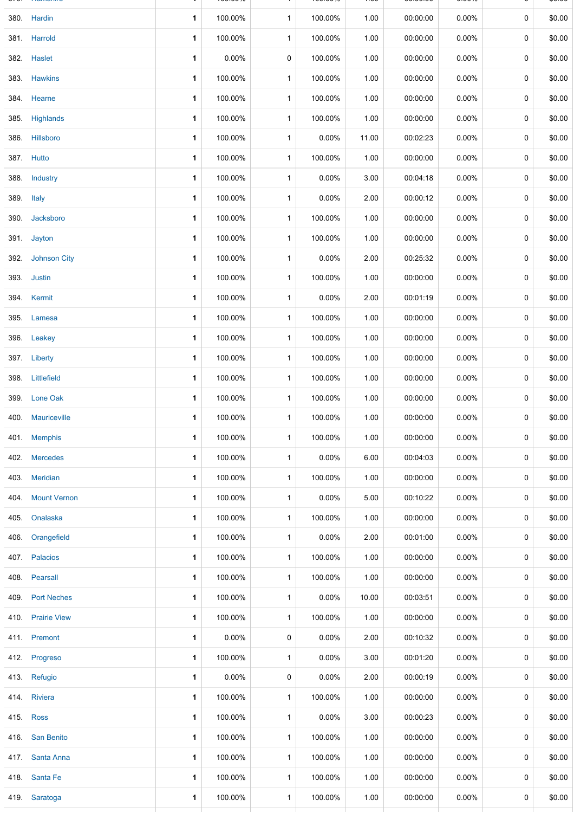|      | 380. Hardin         | 1 | 100.00%  | $\mathbf{1}$ | 100.00%  | 1.00  | 00:00:00 | $0.00\%$ | 0 | \$0.00 |
|------|---------------------|---|----------|--------------|----------|-------|----------|----------|---|--------|
|      | 381. Harrold        | 1 | 100.00%  | $\mathbf{1}$ | 100.00%  | 1.00  | 00:00:00 | 0.00%    | 0 | \$0.00 |
|      | 382. Haslet         | 1 | 0.00%    | 0            | 100.00%  | 1.00  | 00:00:00 | $0.00\%$ | 0 | \$0.00 |
|      | 383. Hawkins        | 1 | 100.00%  | $\mathbf{1}$ | 100.00%  | 1.00  | 00:00:00 | 0.00%    | 0 | \$0.00 |
|      | 384. Hearne         | 1 | 100.00%  | $\mathbf{1}$ | 100.00%  | 1.00  | 00:00:00 | $0.00\%$ | 0 | \$0.00 |
|      | 385. Highlands      | 1 | 100.00%  | $\mathbf{1}$ | 100.00%  | 1.00  | 00:00:00 | $0.00\%$ | 0 | \$0.00 |
|      | 386. Hillsboro      | 1 | 100.00%  | $\mathbf{1}$ | 0.00%    | 11.00 | 00:02:23 | $0.00\%$ | 0 | \$0.00 |
|      | 387. Hutto          | 1 | 100.00%  | $\mathbf{1}$ | 100.00%  | 1.00  | 00:00:00 | $0.00\%$ | 0 | \$0.00 |
| 388. | Industry            | 1 | 100.00%  | $\mathbf{1}$ | $0.00\%$ | 3.00  | 00:04:18 | 0.00%    | 0 | \$0.00 |
|      | 389. Italy          | 1 | 100.00%  | $\mathbf{1}$ | 0.00%    | 2.00  | 00:00:12 | 0.00%    | 0 | \$0.00 |
|      | 390. Jacksboro      | 1 | 100.00%  | $\mathbf{1}$ | 100.00%  | 1.00  | 00:00:00 | $0.00\%$ | 0 | \$0.00 |
|      | 391. Jayton         | 1 | 100.00%  | $\mathbf{1}$ | 100.00%  | 1.00  | 00:00:00 | 0.00%    | 0 | \$0.00 |
|      | 392. Johnson City   | 1 | 100.00%  | $\mathbf{1}$ | 0.00%    | 2.00  | 00:25:32 | 0.00%    | 0 | \$0.00 |
|      | 393. Justin         | 1 | 100.00%  | $\mathbf{1}$ | 100.00%  | 1.00  | 00:00:00 | 0.00%    | 0 | \$0.00 |
|      | 394. Kermit         | 1 | 100.00%  | $\mathbf{1}$ | 0.00%    | 2.00  | 00:01:19 | 0.00%    | 0 | \$0.00 |
| 395. | Lamesa              | 1 | 100.00%  | $\mathbf{1}$ | 100.00%  | 1.00  | 00:00:00 | 0.00%    | 0 | \$0.00 |
|      | 396. Leakey         | 1 | 100.00%  | $\mathbf{1}$ | 100.00%  | 1.00  | 00:00:00 | 0.00%    | 0 | \$0.00 |
|      | 397. Liberty        | 1 | 100.00%  | $\mathbf{1}$ | 100.00%  | 1.00  | 00:00:00 | 0.00%    | 0 | \$0.00 |
|      | 398. Littlefield    | 1 | 100.00%  | $\mathbf{1}$ | 100.00%  | 1.00  | 00:00:00 | $0.00\%$ | 0 | \$0.00 |
| 399. | Lone Oak            | 1 | 100.00%  | $\mathbf{1}$ | 100.00%  | 1.00  | 00:00:00 | 0.00%    | 0 | \$0.00 |
|      | 400. Mauriceville   | 1 | 100.00%  | $\mathbf{1}$ | 100.00%  | 1.00  | 00:00:00 | 0.00%    | 0 | \$0.00 |
|      | 401. Memphis        | 1 | 100.00%  | $\mathbf{1}$ | 100.00%  | 1.00  | 00:00:00 | 0.00%    | 0 | \$0.00 |
|      | 402. Mercedes       | 1 | 100.00%  | $\mathbf{1}$ | 0.00%    | 6.00  | 00:04:03 | 0.00%    | 0 | \$0.00 |
|      | 403. Meridian       | 1 | 100.00%  | $\mathbf{1}$ | 100.00%  | 1.00  | 00:00:00 | 0.00%    | 0 | \$0.00 |
| 404. | <b>Mount Vernon</b> | 1 | 100.00%  | $\mathbf{1}$ | 0.00%    | 5.00  | 00:10:22 | 0.00%    | 0 | \$0.00 |
| 405. | Onalaska            | 1 | 100.00%  | $\mathbf{1}$ | 100.00%  | 1.00  | 00:00:00 | 0.00%    | 0 | \$0.00 |
| 406. | Orangefield         | 1 | 100.00%  | $\mathbf{1}$ | $0.00\%$ | 2.00  | 00:01:00 | 0.00%    | 0 | \$0.00 |
|      | 407. Palacios       | 1 | 100.00%  | $\mathbf{1}$ | 100.00%  | 1.00  | 00:00:00 | 0.00%    | 0 | \$0.00 |
|      | 408. Pearsall       | 1 | 100.00%  | $\mathbf{1}$ | 100.00%  | 1.00  | 00:00:00 | 0.00%    | 0 | \$0.00 |
|      | 409 Port Neches     | 1 | 100.00%  | $\mathbf{1}$ | 0.00%    | 10.00 | 00:03:51 | 0.00%    | 0 | \$0.00 |
|      | 410. Prairie View   | 1 | 100.00%  | $\mathbf{1}$ | 100.00%  | 1.00  | 00:00:00 | 0.00%    | 0 | \$0.00 |
|      | 411. Premont        | 1 | 0.00%    | 0            | $0.00\%$ | 2.00  | 00:10:32 | $0.00\%$ | 0 | \$0.00 |
|      | 412. Progreso       | 1 | 100.00%  | $\mathbf{1}$ | 0.00%    | 3.00  | 00:01:20 | 0.00%    | 0 | \$0.00 |
|      | 413. Refugio        | 1 | $0.00\%$ | 0            | 0.00%    | 2.00  | 00:00:19 | 0.00%    | 0 | \$0.00 |
|      | 414. Riviera        | 1 | 100.00%  | $\mathbf{1}$ | 100.00%  | 1.00  | 00:00:00 | 0.00%    | 0 | \$0.00 |
|      | 415. Ross           | 1 | 100.00%  | $\mathbf{1}$ | $0.00\%$ | 3.00  | 00:00:23 | 0.00%    | 0 | \$0.00 |
|      | 416. San Benito     | 1 | 100.00%  | $\mathbf{1}$ | 100.00%  | 1.00  | 00:00:00 | $0.00\%$ | 0 | \$0.00 |
| 417. | Santa Anna          | 1 | 100.00%  | $\mathbf{1}$ | 100.00%  | 1.00  | 00:00:00 | 0.00%    | 0 | \$0.00 |
|      | 418. Santa Fe       | 1 | 100.00%  | $\mathbf{1}$ | 100.00%  | 1.00  | 00:00:00 | 0.00%    | 0 | \$0.00 |
|      | 419. Saratoga       | 1 | 100.00%  | $\mathbf{1}$ | 100.00%  | 1.00  | 00:00:00 | 0.00%    | 0 | \$0.00 |
|      |                     |   |          |              |          |       |          |          |   |        |